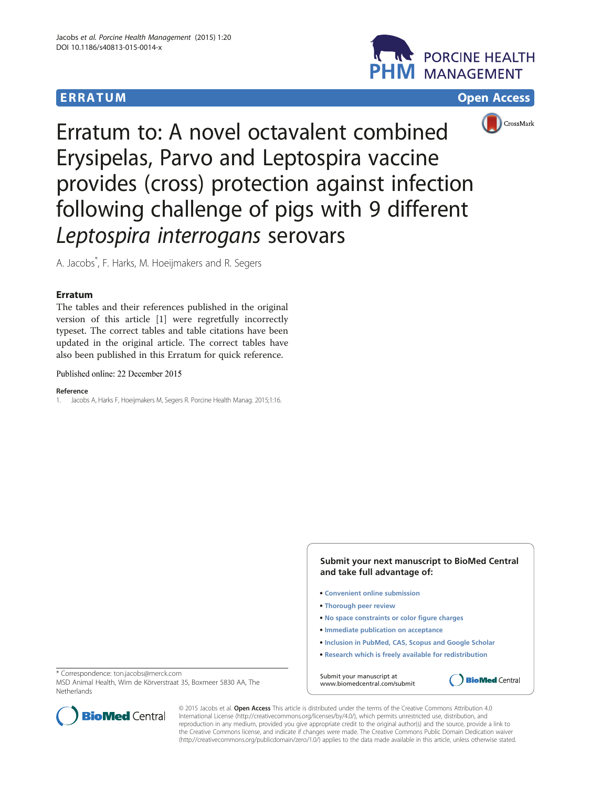## **ERRATUM CONSUMING CONSUMING CONSUMING CONSUMING CONSUMING CONSUMING CONSUMING CONSUMING CONSUMING CONSUMING CONSUMING CONSUMING CONSUMING CONSUMING CONSUMING CONSUMING CONSUMING CONSUMING CONSUMING CONSUMING CONSUMING C**







Erratum to: A novel octavalent combined Erysipelas, Parvo and Leptospira vaccine provides (cross) protection against infection following challenge of pigs with 9 different Leptospira interrogans serovars

A. Jacobs\* , F. Harks, M. Hoeijmakers and R. Segers

## Erratum

The tables and their references published in the original version of this article [1] were regretfully incorrectly typeset. The correct tables and table citations have been updated in the original article. The correct tables have also been published in this Erratum for quick reference.

Published online: 22 December 2015

## Reference

1. Jacobs A, Harks F, Hoeijmakers M, Segers R. Porcine Health Manag. 2015;1:16.

**Submit your next manuscript to BioMed Central and take full advantage of:** 

- **Convenient online submission**
- **Thorough peer review**
- **No space constraints or color figure charges**
- **Immediate publication on acceptance**
- **Inclusion in PubMed, CAS, Scopus and Google Scholar**
- **Research which is freely available for redistribution**

**BioMed Central** 

Submit your manuscript at www.biomedcentral.com/submit

\* Correspondence: [ton.jacobs@merck.com](mailto:ton.jacobs@merck.com)

MSD Animal Health, Wim de Körverstraat 35, Boxmeer 5830 AA, The **Netherlands** 



© 2015 Jacobs et al. Open Access This article is distributed under the terms of the Creative Commons Attribution 4.0 International License [\(http://creativecommons.org/licenses/by/4.0/](http://creativecommons.org/licenses/by/4.0/)), which permits unrestricted use, distribution, and reproduction in any medium, provided you give appropriate credit to the original author(s) and the source, provide a link to the Creative Commons license, and indicate if changes were made. The Creative Commons Public Domain Dedication waiver [\(http://creativecommons.org/publicdomain/zero/1.0/](http://creativecommons.org/publicdomain/zero/1.0/)) applies to the data made available in this article, unless otherwise stated.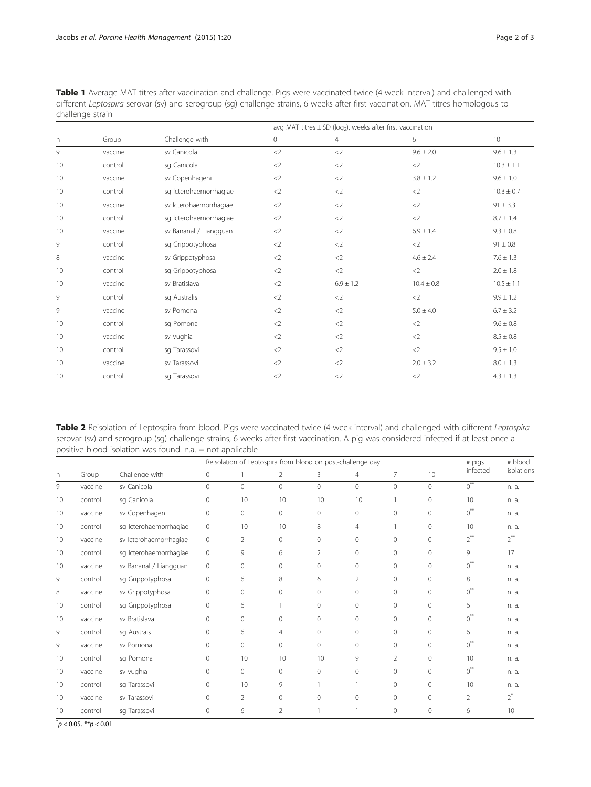|          |         |                        | avg MAT titres $\pm$ SD (log <sub>2</sub> ), weeks after first vaccination |                |                |                 |  |  |
|----------|---------|------------------------|----------------------------------------------------------------------------|----------------|----------------|-----------------|--|--|
| $\Gamma$ | Group   | Challenge with         | $\circ$                                                                    | $\overline{4}$ | 6              | 10 <sup>°</sup> |  |  |
| 9        | vaccine | sv Canicola            | $<$ 2                                                                      | <              | $9.6 \pm 2.0$  | $9.6 \pm 1.3$   |  |  |
| 10       | control | sq Canicola            | $<$ 2                                                                      | $<$ 2          | $<$ 2          | $10.3 \pm 1.1$  |  |  |
| 10       | vaccine | sv Copenhageni         | $<$ 2                                                                      | $<$ 2          | $3.8 \pm 1.2$  | $9.6 \pm 1.0$   |  |  |
| 10       | control | sg Icterohaemorrhagiae | $<$ 2                                                                      | $<$ 2          | $<$ 2          | $10.3 \pm 0.7$  |  |  |
| 10       | vaccine | sv Icterohaemorrhagiae | $<$ 2                                                                      | $<$ 2          | $<$ 2          | $91 \pm 3.3$    |  |  |
| 10       | control | sg Icterohaemorrhagiae | $<$ 2                                                                      | $<$ 2          | $<$ 2          | $8.7 \pm 1.4$   |  |  |
| 10       | vaccine | sv Bananal / Liangguan | $<$ 2                                                                      | $<$ 2          | $6.9 \pm 1.4$  | $9.3 \pm 0.8$   |  |  |
| 9        | control | sg Grippotyphosa       | $<$ 2                                                                      | $<$ 2          | $<$ 2          | $91 \pm 0.8$    |  |  |
| 8        | vaccine | sv Grippotyphosa       | $<$ 2                                                                      | $<$ 2          | $4.6 \pm 2.4$  | $7.6 \pm 1.3$   |  |  |
| 10       | control | sg Grippotyphosa       | $<$ 2                                                                      | $<$ 2          | $<$ 2          | $2.0 \pm 1.8$   |  |  |
| 10       | vaccine | sv Bratislava          | $<$ 2                                                                      | $6.9 \pm 1.2$  | $10.4 \pm 0.8$ | $10.5 \pm 1.1$  |  |  |
| 9        | control | sq Australis           | $<$ 2                                                                      | $<$ 2          | $<$ 2          | $9.9 \pm 1.2$   |  |  |
| 9        | vaccine | sv Pomona              | $<$ 2                                                                      | $<$ 2          | $5.0 \pm 4.0$  | $6.7 \pm 3.2$   |  |  |
| 10       | control | sq Pomona              | $<$ 2                                                                      | $<$ 2          | $<$ 2          | $9.6 \pm 0.8$   |  |  |
| 10       | vaccine | sv Vughia              | $<$ 2                                                                      | $<$ 2          | $<$ 2          | $8.5 \pm 0.8$   |  |  |
| 10       | control | sq Tarassovi           | $<$ 2                                                                      | $<$ 2          | $<$ 2          | $9.5 \pm 1.0$   |  |  |
| 10       | vaccine | sv Tarassovi           | $<$ 2                                                                      | $<$ 2          | $2.0 \pm 3.2$  | $8.0 \pm 1.3$   |  |  |
| 10       | control | sq Tarassovi           | $<$ 2                                                                      | $<$ 2          | $<$ 2          | $4.3 \pm 1.3$   |  |  |

Table 1 Average MAT titres after vaccination and challenge. Pigs were vaccinated twice (4-week interval) and challenged with different Leptospira serovar (sv) and serogroup (sg) challenge strains, 6 weeks after first vaccination. MAT titres homologous to challenge strain

Table 2 Reisolation of Leptospira from blood. Pigs were vaccinated twice (4-week interval) and challenged with different Leptospira serovar (sv) and serogroup (sg) challenge strains, 6 weeks after first vaccination. A pig was considered infected if at least once a positive blood isolation was found. n.a. = not applicable

|    |         |                        | Reisolation of Leptospira from blood on post-challenge day |                |                |                |                |                | # pigs       | # blood        |            |
|----|---------|------------------------|------------------------------------------------------------|----------------|----------------|----------------|----------------|----------------|--------------|----------------|------------|
| n  | Group   | Challenge with         | $\mathbf{0}$                                               |                | 2              | 3              | 4              | $\overline{7}$ | 10           | infected       | isolations |
| 9  | vaccine | sv Canicola            | $\circ$                                                    | $\circ$        | $\circ$        | $\mathbf{0}$   | $\circ$        | $\circ$        | $\mathbf{0}$ | $0^{**}$       | n. a.      |
| 10 | control | sq Canicola            | $\mathbf{0}$                                               | 10             | 10             | 10             | 10             |                | $\mathbf{0}$ | 10             | n. a.      |
| 10 | vaccine | sv Copenhageni         | $\mathbf{0}$                                               | 0              | $\circ$        | $\mathbf{0}$   | $\Omega$       | $\Omega$       | $\mathbf{0}$ | $0^{\ast\ast}$ | n. a.      |
| 10 | control | sg Icterohaemorrhagiae | $\circ$                                                    | 10             | 10             | 8              | $\overline{4}$ |                | $\mathbf{0}$ | 10             | n. a.      |
| 10 | vaccine | sv Icterohaemorrhagiae | $\circ$                                                    | $\overline{2}$ | 0              | 0              | $\Omega$       | 0              | $\mathbf{0}$ | $2^{**}$       | $2^{**}$   |
| 10 | control | sg Icterohaemorrhagiae | $\circ$                                                    | 9              | 6              | $\overline{2}$ | $\Omega$       | $\Omega$       | $\mathbf{0}$ | 9              | 17         |
| 10 | vaccine | sv Bananal / Liangguan | $\Omega$                                                   | $\Omega$       | $\Omega$       | $\Omega$       | $\Omega$       | $\Omega$       | $\Omega$     | $0^{**}$       | n. a.      |
| 9  | control | sg Grippotyphosa       | $\Omega$                                                   | 6              | 8              | 6              | $\overline{2}$ | $\Omega$       | $\mathbf{0}$ | 8              | n. a.      |
| 8  | vaccine | sv Grippotyphosa       | $\mathbf{0}$                                               | 0              | $\mathbf 0$    | $\mathbf 0$    | $\Omega$       | 0              | $\mathbf{0}$ | $0^{**}$       | n. a.      |
| 10 | control | sg Grippotyphosa       | $\Omega$                                                   | 6              |                | $\Omega$       | $\Omega$       | $\mathbf{0}$   | $\mathbf{0}$ | 6              | n. a.      |
| 10 | vaccine | sv Bratislava          | $\Omega$                                                   | $\Omega$       | 0              | $\Omega$       | $\Omega$       | $\Omega$       | $\Omega$     | $\overline{O}$ | n. a.      |
| 9  | control | sq Austrais            | $\mathbf{0}$                                               | 6              | 4              | 0              | $\Omega$       | 0              | $\mathbf 0$  | 6              | n. a.      |
| 9  | vaccine | sv Pomona              | $\mathbf{0}$                                               | $\circ$        | 0              | $\mathbf 0$    | $\Omega$       | 0              | $\mathbf{0}$ | $0^{**}$       | n. a.      |
| 10 | control | sq Pomona              | $\Omega$                                                   | 10             | 10             | 10             | 9              | $\overline{2}$ | $\mathbf{0}$ | 10             | n. a.      |
| 10 | vaccine | sv vughia              | $\Omega$                                                   | $\Omega$       | $\overline{0}$ | $\Omega$       | $\Omega$       | $\Omega$       | $\Omega$     | $0^{**}$       | n. a.      |
| 10 | control | sq Tarassovi           | $\Omega$                                                   | 10             | 9              |                |                | $\Omega$       | $\mathbf{0}$ | 10             | n. a.      |
| 10 | vaccine | sv Tarassovi           | $\Omega$                                                   | $\overline{2}$ | $\overline{0}$ | $\Omega$       | $\Omega$       | $\Omega$       | $\mathbf{0}$ | $\overline{2}$ | $2^*$      |
| 10 | control | sq Tarassovi           | $\Omega$                                                   | 6              | 2              |                |                | $\Omega$       | $\mathbf{0}$ | 6              | 10         |

 $p < 0.05$ . \*\* $p < 0.01$